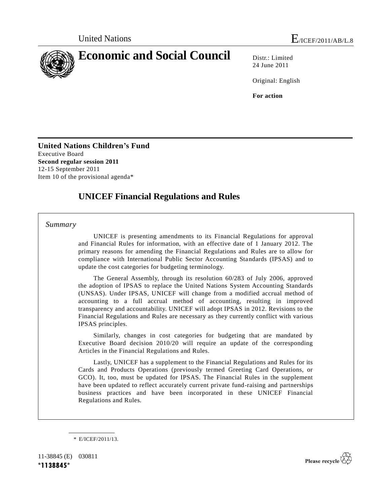

24 June 2011

Original: English

**For action**

**United Nations Children's Fund** Executive Board **Second regular session 2011** 12-15 September 2011 Item 10 of the provisional agenda\*

# **UNICEF Financial Regulations and Rules**

*Summary*

UNICEF is presenting amendments to its Financial Regulations for approval and Financial Rules for information, with an effective date of 1 January 2012. The primary reasons for amending the Financial Regulations and Rules are to allow for compliance with International Public Sector Accounting Standards (IPSAS) and to update the cost categories for budgeting terminology.

The General Assembly, through its resolution 60/283 of July 2006, approved the adoption of IPSAS to replace the United Nations System Accounting Standards (UNSAS). Under IPSAS, UNICEF will change from a modified accrual method of accounting to a full accrual method of accounting, resulting in improved transparency and accountability. UNICEF will adopt IPSAS in 2012. Revisions to the Financial Regulations and Rules are necessary as they currently conflict with various IPSAS principles.

Similarly, changes in cost categories for budgeting that are mandated by Executive Board decision 2010/20 will require an update of the corresponding Articles in the Financial Regulations and Rules.

Lastly, UNICEF has a supplement to the Financial Regulations and Rules for its Cards and Products Operations (previously termed Greeting Card Operations, or GCO). It, too, must be updated for IPSAS. The Financial Rules in the supplement have been updated to reflect accurately current private fund-raising and partnerships business practices and have been incorporated in these UNICEF Financial Regulations and Rules.

\* E/ICEF/2011/13.

11-38845 (E) 030811 **\*1138845\***

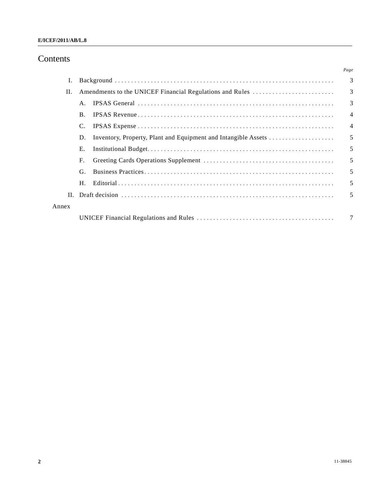# Contents

|       |                                                                      | Page           |
|-------|----------------------------------------------------------------------|----------------|
| Ι.    |                                                                      | 3              |
| П.    | Amendments to the UNICEF Financial Regulations and Rules             | 3              |
|       | $A_{\cdot}$                                                          | 3              |
|       | <b>B.</b>                                                            | $\overline{4}$ |
|       | C.                                                                   | $\overline{4}$ |
|       | Inventory, Property, Plant and Equipment and Intangible Assets<br>D. | 5              |
|       | Е.                                                                   | 5              |
|       | $F_{\cdot}$                                                          | 5              |
|       | G.                                                                   | 5              |
|       | H.                                                                   | 5              |
|       |                                                                      | 5              |
| Annex |                                                                      |                |
|       |                                                                      | 7              |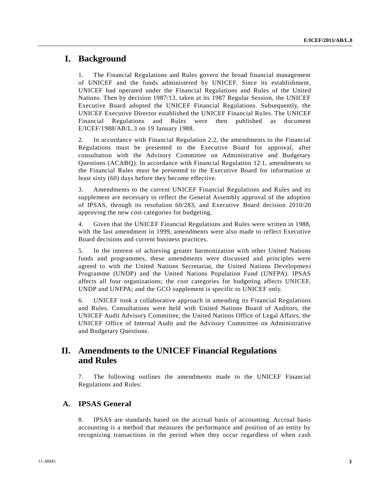## **I. Background**

1. The Financial Regulations and Rules govern the broad financial management of UNICEF and the funds administered by UNICEF. Since its establishment, UNICEF had operated under the Financial Regulations and Rules of the United Nations. Then by decision 1987/13, taken at its 1987 Regular Session, the UNICEF Executive Board adopted the UNICEF Financial Regulations. Subsequently, the UNICEF Executive Director established the UNICEF Financial Rules. The UNICEF Financial Regulations and Rules were then published as document E/ICEF/1988/AB/L.3 on 19 January 1988.

2. In accordance with Financial Regulation 2.2, the amendments to the Financial Regulations must be presented to the Executive Board for approval, after consultation with the Advisory Committee on Administrative and Budgetary Questions (ACABQ). In accordance with Financial Regulation 12.1, amendments to the Financial Rules must be presented to the Executive Board for information at least sixty (60) days before they become effective.

3. Amendments to the current UNICEF Financial Regulations and Rules and its supplement are necessary to reflect the General Assembly approval of the adoption of IPSAS, through its resolution 60/283, and Executive Board decision 2010/20 approving the new cost categories for budgeting.

4. Given that the UNICEF Financial Regulations and Rules were written in 1988, with the last amendment in 1999, amendments were also made to reflect Executive Board decisions and current business practices.

5. In the interest of achieving greater harmonization with other United Nations funds and programmes, these amendments were discussed and principles were agreed to with the United Nations Secretariat, the United Nations Development Programme (UNDP) and the United Nations Population Fund (UNFPA). IPSAS affects all four organizations; the cost categories for budgeting affects UNICEF, UNDP and UNFPA; and the GCO supplement is specific to UNICEF only.

6. UNICEF took a collaborative approach in amending its Financial Regulations and Rules. Consultations were held with United Nations Board of Auditors, the UNICEF Audit Advisory Committee, the United Nations Office of Legal Affairs, the UNICEF Office of Internal Audit and the Advisory Committee on Administrative and Budgetary Questions.

# **II. Amendments to the UNICEF Financial Regulations and Rules**

7. The following outlines the amendments made to the UNICEF Financial Regulations and Rules:

## **A. IPSAS General**

8. IPSAS are standards based on the accrual basis of accounting. Accrual basis accounting is a method that measures the performance and position of an entity by recognizing transactions in the period when they occur regardless of when cash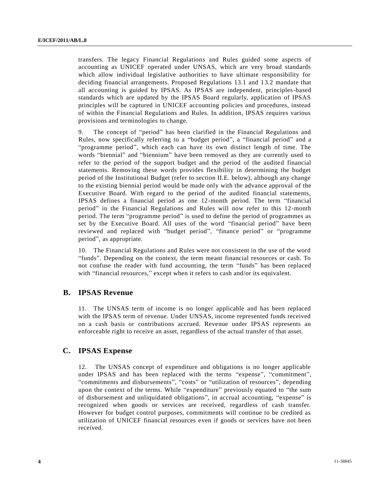transfers. The legacy Financial Regulations and Rules guided some aspects of accounting as UNICEF operated under UNSAS, which are very broad standards which allow individual legislative authorities to have ultimate responsibility for deciding financial arrangements. Proposed Regulations 13.1 and 13.2 mandate that all accounting is guided by IPSAS. As IPSAS are independent, principles-based standards which are updated by the IPSAS Board regularly, application of IPSAS principles will be captured in UNICEF accounting policies and procedures, instead of within the Financial Regulations and Rules. In addition, IPSAS requires various provisions and terminologies to change.

9. The concept of "period" has been clarified in the Financial Regulations and Rules, now specifically referring to a "budget period", a "financial period" and a "programme period", which each can have its own distinct length of time. The words "biennial" and "biennium" have been removed as they are currently used to refer to the period of the support budget and the period of the audited financial statements. Removing these words provides flexibility in determining the budget period of the Institutional Budget (refer to section II.E. below), although any change to the existing biennial period would be made only with the advance approval of the Executive Board. With regard to the period of the audited financial statements, IPSAS defines a financial period as one 12-month period. The term "financial period" in the Financial Regulations and Rules will now refer to this 12-month period. The term "programme period" is used to define the period of programmes as set by the Executive Board. All uses of the word "financial period" have been reviewed and replaced with "budget period", "finance period" or "programme period", as appropriate.

10. The Financial Regulations and Rules were not consistent in the use of the word "funds". Depending on the context, the term meant financial resources or cash. To not confuse the reader with fund accounting, the term "funds" has been replaced with "financial resources," except when it refers to cash and/or its equivalent.

## **B. IPSAS Revenue**

11. The UNSAS term of income is no longer applicable and has been replaced with the IPSAS term of revenue. Under UNSAS, income represented funds received on a cash basis or contributions accrued. Revenue under IPSAS represents an enforceable right to receive an asset, regardless of the actual transfer of that asset.

## **C. IPSAS Expense**

12. The UNSAS concept of expenditure and obligations is no longer applicable under IPSAS and has been replaced with the terms "expense", "commitment", "commitments and disbursements", "costs" or "utilization of resources", depending upon the context of the terms. While "expenditure" previously equated to "the sum of disbursement and unliquidated obligations", in accrual accounting, "expense" is recognized when goods or services are received, regardless of cash transfer. However for budget control purposes, commitments will continue to be credited as utilization of UNICEF financial resources even if goods or services have not been received.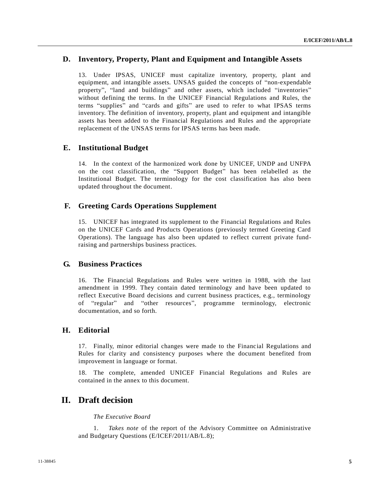## **D. Inventory, Property, Plant and Equipment and Intangible Assets**

13. Under IPSAS, UNICEF must capitalize inventory, property, plant and equipment, and intangible assets. UNSAS guided the concepts of "non-expendable property", "land and buildings" and other assets, which included "inventories" without defining the terms. In the UNICEF Financial Regulations and Rules, the terms "supplies" and "cards and gifts" are used to refer to what IPSAS terms inventory. The definition of inventory, property, plant and equipment and intangible assets has been added to the Financial Regulations and Rules and the appropriate replacement of the UNSAS terms for IPSAS terms has been made.

### **E. Institutional Budget**

14. In the context of the harmonized work done by UNICEF, UNDP and UNFPA on the cost classification, the "Support Budget" has been relabelled as the Institutional Budget. The terminology for the cost classification has also been updated throughout the document.

## **F. Greeting Cards Operations Supplement**

15. UNICEF has integrated its supplement to the Financial Regulations and Rules on the UNICEF Cards and Products Operations (previously termed Greeting Card Operations). The language has also been updated to reflect current private fundraising and partnerships business practices.

## **G. Business Practices**

16. The Financial Regulations and Rules were written in 1988, with the last amendment in 1999. They contain dated terminology and have been updated to reflect Executive Board decisions and current business practices, e.g., terminology of "regular" and "other resources", programme terminology, electronic documentation, and so forth.

## **H. Editorial**

17. Finally, minor editorial changes were made to the Financial Regulations and Rules for clarity and consistency purposes where the document benefited from improvement in language or format.

18. The complete, amended UNICEF Financial Regulations and Rules are contained in the annex to this document.

## **II. Draft decision**

#### *The Executive Board*

1. *Takes note* of the report of the Advisory Committee on Administrative and Budgetary Questions (E/ICEF/2011/AB/L.8);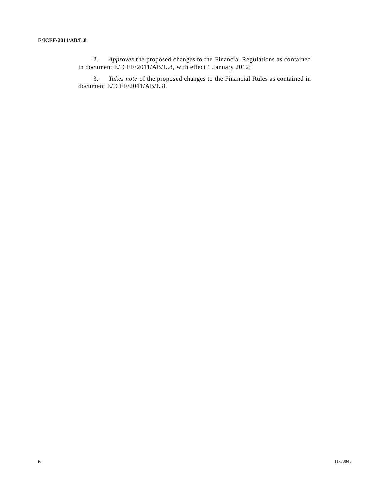2. *Approves* the proposed changes to the Financial Regulations as contained in document E/ICEF/2011/AB/L.8, with effect 1 January 2012;

3. *Takes note* of the proposed changes to the Financial Rules as contained in document E/ICEF/2011/AB/L.8.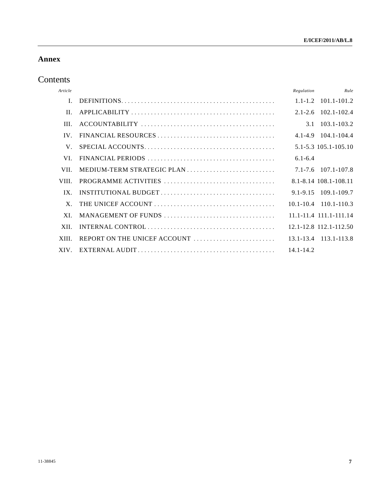## **Annex**

# Contents

| Article      |               | Rule<br>Regulation            |
|--------------|---------------|-------------------------------|
| $\mathbf{L}$ |               | $1.1 - 1.2$ $101.1 - 101.2$   |
| II.          |               | $2.1 - 2.6$ 102.1-102.4       |
| III.         |               | 3.1 103.1-103.2               |
| IV.          |               | $4.1 - 4.9$ $104.1 - 104.4$   |
| V.           |               | 5.1-5.3 105.1-105.10          |
| VI.          | $6.1 - 6.4$   |                               |
| VII.         |               | 7.1-7.6 107.1-107.8           |
| VIII.        |               | 8.1-8.14 108.1-108.11         |
| $IX_{-}$     |               |                               |
| X.           |               | $10.1 - 10.4$ $110.1 - 110.3$ |
| XL           |               | $11.1 - 11.4$ 111.1-111.14    |
| XII.         |               | 12.1-12.8 112.1-112.50        |
| XIII.        |               | 13.1-13.4 113.1-113.8         |
| XIV.         | $14.1 - 14.2$ |                               |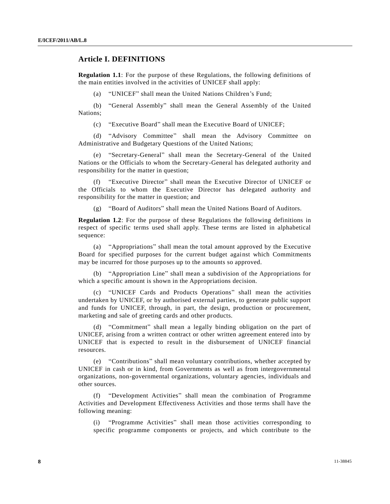## **Article I. DEFINITIONS**

**Regulation 1.1**: For the purpose of these Regulations, the following definitions of the main entities involved in the activities of UNICEF shall apply:

(a) "UNICEF" shall mean the United Nations Children's Fund;

(b) "General Assembly" shall mean the General Assembly of the United Nations;

(c) "Executive Board" shall mean the Executive Board of UNICEF;

(d) "Advisory Committee" shall mean the Advisory Committee on Administrative and Budgetary Questions of the United Nations;

(e) "Secretary-General" shall mean the Secretary-General of the United Nations or the Officials to whom the Secretary-General has delegated authority and responsibility for the matter in question;

(f) "Executive Director" shall mean the Executive Director of UNICEF or the Officials to whom the Executive Director has delegated authority and responsibility for the matter in question; and

(g) "Board of Auditors" shall mean the United Nations Board of Auditors.

**Regulation 1.2**: For the purpose of these Regulations the following definitions in respect of specific terms used shall apply. These terms are listed in alphabetical sequence:

(a) "Appropriations" shall mean the total amount approved by the Executive Board for specified purposes for the current budget against which Commitments may be incurred for those purposes up to the amounts so approved.

(b) "Appropriation Line" shall mean a subdivision of the Appropriations for which a specific amount is shown in the Appropriations decision.

(c) "UNICEF Cards and Products Operations" shall mean the activities undertaken by UNICEF, or by authorised external parties, to generate public support and funds for UNICEF, through, in part, the design, production or procurement, marketing and sale of greeting cards and other products.

(d) "Commitment" shall mean a legally binding obligation on the part of UNICEF, arising from a written contract or other written agreement entered into by UNICEF that is expected to result in the disbursement of UNICEF financial resources.

(e) "Contributions" shall mean voluntary contributions, whether accepted by UNICEF in cash or in kind, from Governments as well as from intergovernmental organizations, non-governmental organizations, voluntary agencies, individuals and other sources.

(f) "Development Activities" shall mean the combination of Programme Activities and Development Effectiveness Activities and those terms shall have the following meaning:

(i) "Programme Activities" shall mean those activities corresponding to specific programme components or projects, and which contribute to the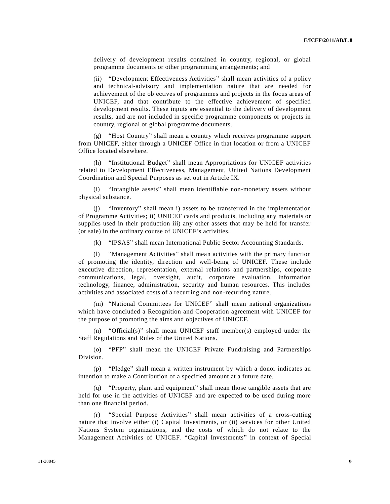delivery of development results contained in country, regional, or global programme documents or other programming arrangements; and

(ii) "Development Effectiveness Activities" shall mean activities of a policy and technical-advisory and implementation nature that are needed for achievement of the objectives of programmes and projects in the focus areas of UNICEF, and that contribute to the effective achievement of specified development results. These inputs are essential to the delivery of development results, and are not included in specific programme components or projects in country, regional or global programme documents.

(g) "Host Country" shall mean a country which receives programme support from UNICEF, either through a UNICEF Office in that location or from a UNICEF Office located elsewhere.

(h) "Institutional Budget" shall mean Appropriations for UNICEF activities related to Development Effectiveness, Management, United Nations Development Coordination and Special Purposes as set out in Article IX.

(i) "Intangible assets" shall mean identifiable non-monetary assets without physical substance.

(j) "Inventory" shall mean i) assets to be transferred in the implementation of Programme Activities; ii) UNICEF cards and products, including any materials or supplies used in their production iii) any other assets that may be held for transfer (or sale) in the ordinary course of UNICEF's activities.

(k) "IPSAS" shall mean International Public Sector Accounting Standards.

(l) "Management Activities" shall mean activities with the primary function of promoting the identity, direction and well-being of UNICEF. These include executive direction, representation, external relations and partnerships, corporate communications, legal, oversight, audit, corporate evaluation, information technology, finance, administration, security and human resources. This includes activities and associated costs of a recurring and non-recurring nature.

(m) "National Committees for UNICEF" shall mean national organizations which have concluded a Recognition and Cooperation agreement with UNICEF for the purpose of promoting the aims and objectives of UNICEF.

(n) "Official(s)" shall mean UNICEF staff member(s) employed under the Staff Regulations and Rules of the United Nations.

(o) "PFP" shall mean the UNICEF Private Fundraising and Partnerships Division.

(p) "Pledge" shall mean a written instrument by which a donor indicates an intention to make a Contribution of a specified amount at a future date.

(q) "Property, plant and equipment" shall mean those tangible assets that are held for use in the activities of UNICEF and are expected to be used during more than one financial period.

"Special Purpose Activities" shall mean activities of a cross-cutting nature that involve either (i) Capital Investments, or (ii) services for other United Nations System organizations, and the costs of which do not relate to the Management Activities of UNICEF. "Capital Investments" in context of Special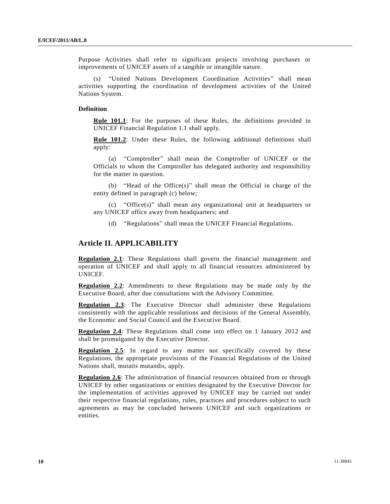Purpose Activities shall refer to significant projects involving purchases or improvements of UNICEF assets of a tangible or intangible nature.

"United Nations Development Coordination Activities" shall mean activities supporting the coordination of development activities of the United Nations System.

#### **Definition**

**Rule 101.1**: For the purposes of these Rules, the definitions provided in UNICEF Financial Regulation 1.1 shall apply.

**Rule 101.2**: Under these Rules, the following additional definitions shall apply:

(a) "Comptroller" shall mean the Comptroller of UNICEF or the Officials to whom the Comptroller has delegated authority and responsibility for the matter in question.

(b) "Head of the Office(s)" shall mean the Official in charge of the entity defined in paragraph (c) below;

(c) "Office(s)" shall mean any organizational unit at headquarters or any UNICEF office away from headquarters; and

(d) "Regulations" shall mean the UNICEF Financial Regulations.

## **Article II. APPLICABILITY**

**Regulation 2.1**: These Regulations shall govern the financial management and operation of UNICEF and shall apply to all financial resources administered by UNICEF.

**Regulation 2.2**: Amendments to these Regulations may be made only by the Executive Board, after due consultations with the Advisory Committee.

**Regulation 2.3**: The Executive Director shall administer these Regulations consistently with the applicable resolutions and decisions of the General Assembly, the Economic and Social Council and the Executive Board.

**Regulation 2.4**: These Regulations shall come into effect on 1 January 2012 and shall be promulgated by the Executive Director.

**Regulation 2.5**: In regard to any matter not specifically covered by these Regulations, the appropriate provisions of the Financial Regulations of the United Nations shall, mutatis mutandis, apply.

**Regulation 2.6**: The administration of financial resources obtained from or through UNICEF by other organizations or entities designated by the Executive Director for the implementation of activities approved by UNICEF may be carried out under their respective financial regulations, rules, practices and procedures subject to such agreements as may be concluded between UNICEF and such organizations or entities.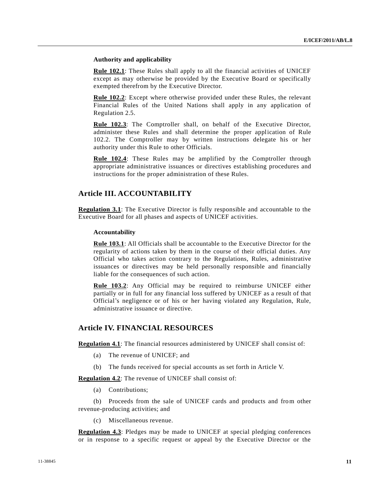#### **Authority and applicability**

**Rule 102.1**: These Rules shall apply to all the financial activities of UNICEF except as may otherwise be provided by the Executive Board or specifically exempted therefrom by the Executive Director.

**Rule 102.2**: Except where otherwise provided under these Rules, the relevant Financial Rules of the United Nations shall apply in any application of Regulation 2.5.

**Rule 102.3**: The Comptroller shall, on behalf of the Executive Director, administer these Rules and shall determine the proper application of Rule 102.2. The Comptroller may by written instructions delegate his or her authority under this Rule to other Officials.

Rule 102.4: These Rules may be amplified by the Comptroller through appropriate administrative issuances or directives establishing procedures and instructions for the proper administration of these Rules.

## **Article III. ACCOUNTABILITY**

**Regulation 3.1**: The Executive Director is fully responsible and accountable to the Executive Board for all phases and aspects of UNICEF activities.

#### **Accountability**

**Rule 103.1**: All Officials shall be accountable to the Executive Director for the regularity of actions taken by them in the course of their official duties. Any Official who takes action contrary to the Regulations, Rules, administrative issuances or directives may be held personally responsible and financially liable for the consequences of such action.

**Rule 103.2**: Any Official may be required to reimburse UNICEF either partially or in full for any financial loss suffered by UNICEF as a result of that Official's negligence or of his or her having violated any Regulation, Rule, administrative issuance or directive.

### **Article IV. FINANCIAL RESOURCES**

**Regulation 4.1**: The financial resources administered by UNICEF shall consist of:

- (a) The revenue of UNICEF; and
- (b) The funds received for special accounts as set forth in Article V.

**Regulation 4.2**: The revenue of UNICEF shall consist of:

(a) Contributions;

(b) Proceeds from the sale of UNICEF cards and products and from other revenue-producing activities; and

(c) Miscellaneous revenue.

**Regulation 4.3**: Pledges may be made to UNICEF at special pledging conferences or in response to a specific request or appeal by the Executive Director or the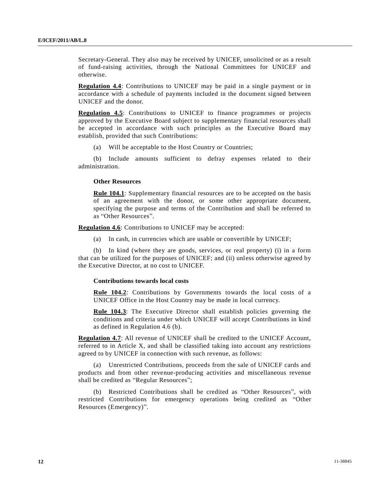Secretary-General. They also may be received by UNICEF, unsolicited or as a result of fund-raising activities, through the National Committees for UNICEF and otherwise.

**Regulation 4.4**: Contributions to UNICEF may be paid in a single payment or in accordance with a schedule of payments included in the document signed between UNICEF and the donor.

**Regulation 4.5**: Contributions to UNICEF to finance programmes or projects approved by the Executive Board subject to supplementary financial resources shall be accepted in accordance with such principles as the Executive Board may establish, provided that such Contributions:

(a) Will be acceptable to the Host Country or Countries;

(b) Include amounts sufficient to defray expenses related to their administration.

#### **Other Resources**

**Rule 104.1**: Supplementary financial resources are to be accepted on the basis of an agreement with the donor, or some other appropriate document, specifying the purpose and terms of the Contribution and shall be referred to as "Other Resources".

**Regulation 4.6**: Contributions to UNICEF may be accepted:

(a) In cash, in currencies which are usable or convertible by UNICEF;

(b) In kind (where they are goods, services, or real property) (i) in a form that can be utilized for the purposes of UNICEF; and (ii) unless otherwise agreed by the Executive Director, at no cost to UNICEF.

#### **Contributions towards local costs**

**Rule 104.2**: Contributions by Governments towards the local costs of a UNICEF Office in the Host Country may be made in local currency.

Rule 104.3: The Executive Director shall establish policies governing the conditions and criteria under which UNICEF will accept Contributions in kind as defined in Regulation 4.6 (b).

**Regulation 4.7**: All revenue of UNICEF shall be credited to the UNICEF Account, referred to in Article X, and shall be classified taking into account any restrictions agreed to by UNICEF in connection with such revenue, as follows:

(a) Unrestricted Contributions, proceeds from the sale of UNICEF cards and products and from other revenue-producing activities and miscellaneous revenue shall be credited as "Regular Resources";

(b) Restricted Contributions shall be credited as "Other Resources", with restricted Contributions for emergency operations being credited as "Other Resources (Emergency)".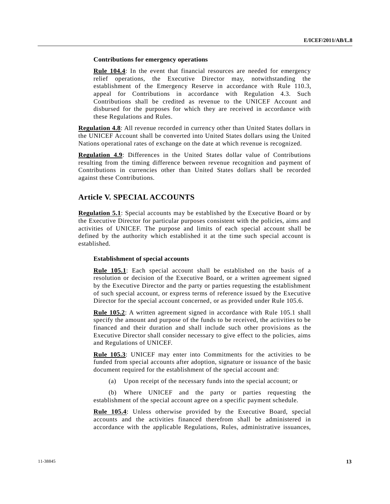#### **Contributions for emergency operations**

**Rule 104.4**: In the event that financial resources are needed for emergency relief operations, the Executive Director may, notwithstanding the establishment of the Emergency Reserve in accordance with Rule 110.3, appeal for Contributions in accordance with Regulation 4.3. Such Contributions shall be credited as revenue to the UNICEF Account and disbursed for the purposes for which they are received in accordance with these Regulations and Rules.

**Regulation 4.8**: All revenue recorded in currency other than United States dollars in the UNICEF Account shall be converted into United States dollars using the United Nations operational rates of exchange on the date at which revenue is recognized.

**Regulation 4.9**: Differences in the United States dollar value of Contributions resulting from the timing difference between revenue recognition and payment of Contributions in currencies other than United States dollars shall be recorded against these Contributions.

## **Article V. SPECIAL ACCOUNTS**

**Regulation 5.1**: Special accounts may be established by the Executive Board or by the Executive Director for particular purposes consistent with the policies, aims and activities of UNICEF. The purpose and limits of each special account shall be defined by the authority which established it at the time such special account is established.

#### **Establishment of special accounts**

**Rule 105.1**: Each special account shall be established on the basis of a resolution or decision of the Executive Board, or a written agreement signed by the Executive Director and the party or parties requesting the establishment of such special account, or express terms of reference issued by the Executive Director for the special account concerned, or as provided under Rule 105.6.

**Rule 105.2**: A written agreement signed in accordance with Rule 105.1 shall specify the amount and purpose of the funds to be received, the activities to be financed and their duration and shall include such other provisions as the Executive Director shall consider necessary to give effect to the policies, aims and Regulations of UNICEF.

**Rule 105.3**: UNICEF may enter into Commitments for the activities to be funded from special accounts after adoption, signature or issuance of the basic document required for the establishment of the special account and:

(a) Upon receipt of the necessary funds into the special account; or

(b) Where UNICEF and the party or parties requesting the establishment of the special account agree on a specific payment schedule.

Rule 105.4: Unless otherwise provided by the Executive Board, special accounts and the activities financed therefrom shall be administered in accordance with the applicable Regulations, Rules, administrative issuances,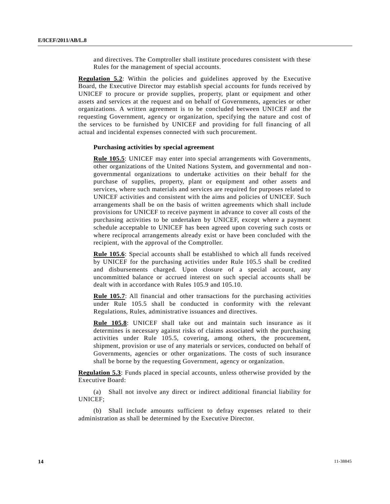and directives. The Comptroller shall institute procedures consistent with these Rules for the management of special accounts.

**Regulation 5.2**: Within the policies and guidelines approved by the Executive Board, the Executive Director may establish special accounts for funds received by UNICEF to procure or provide supplies, property, plant or equipment and other assets and services at the request and on behalf of Governments, agencies or other organizations. A written agreement is to be concluded between UNICEF and the requesting Government, agency or organization, specifying the nature and cost of the services to be furnished by UNICEF and providing for full financing of all actual and incidental expenses connected with such procurement.

#### **Purchasing activities by special agreement**

**Rule 105.5**: UNICEF may enter into special arrangements with Governments, other organizations of the United Nations System, and governmental and nongovernmental organizations to undertake activities on their behalf for the purchase of supplies, property, plant or equipment and other assets and services, where such materials and services are required for purposes related to UNICEF activities and consistent with the aims and policies of UNICEF. Such arrangements shall be on the basis of written agreements which shall include provisions for UNICEF to receive payment in advance to cover all costs of the purchasing activities to be undertaken by UNICEF, except where a payment schedule acceptable to UNICEF has been agreed upon covering such costs or where reciprocal arrangements already exist or have been concluded with the recipient, with the approval of the Comptroller.

**Rule 105.6**: Special accounts shall be established to which all funds received by UNICEF for the purchasing activities under Rule 105.5 shall be credited and disbursements charged. Upon closure of a special account, any uncommitted balance or accrued interest on such special accounts shall be dealt with in accordance with Rules 105.9 and 105.10.

**Rule 105.7**: All financial and other transactions for the purchasing activities under Rule 105.5 shall be conducted in conformity with the relevant Regulations, Rules, administrative issuances and directives.

**Rule 105.8**: UNICEF shall take out and maintain such insurance as it determines is necessary against risks of claims associated with the purchasing activities under Rule 105.5, covering, among others, the procurement, shipment, provision or use of any materials or services, conducted on behalf of Governments, agencies or other organizations. The costs of such insurance shall be borne by the requesting Government, agency or organization.

**Regulation 5.3**: Funds placed in special accounts, unless otherwise provided by the Executive Board:

(a) Shall not involve any direct or indirect additional financial liability for UNICEF;

(b) Shall include amounts sufficient to defray expenses related to their administration as shall be determined by the Executive Director.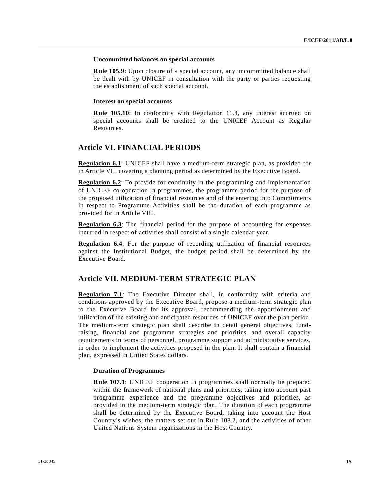#### **Uncommitted balances on special accounts**

**Rule 105.9**: Upon closure of a special account, any uncommitted balance shall be dealt with by UNICEF in consultation with the party or parties requesting the establishment of such special account.

#### **Interest on special accounts**

Rule 105.10: In conformity with Regulation 11.4, any interest accrued on special accounts shall be credited to the UNICEF Account as Regular Resources.

## **Article VI. FINANCIAL PERIODS**

**Regulation 6.1**: UNICEF shall have a medium-term strategic plan, as provided for in Article VII, covering a planning period as determined by the Executive Board.

**Regulation 6.2**: To provide for continuity in the programming and implementation of UNICEF co-operation in programmes, the programme period for the purpose of the proposed utilization of financial resources and of the entering into Commitments in respect to Programme Activities shall be the duration of each programme as provided for in Article VIII.

**Regulation 6.3**: The financial period for the purpose of accounting for expenses incurred in respect of activities shall consist of a single calendar year.

**Regulation 6.4**: For the purpose of recording utilization of financial resources against the Institutional Budget, the budget period shall be determined by the Executive Board.

## **Article VII. MEDIUM-TERM STRATEGIC PLAN**

**Regulation 7.1**: The Executive Director shall, in conformity with criteria and conditions approved by the Executive Board, propose a medium-term strategic plan to the Executive Board for its approval, recommending the apportionment and utilization of the existing and anticipated resources of UNICEF over the plan period. The medium-term strategic plan shall describe in detail general objectives, fund raising, financial and programme strategies and priorities, and overall capacity requirements in terms of personnel, programme support and administrative services, in order to implement the activities proposed in the plan. It shall contain a financial plan, expressed in United States dollars.

#### **Duration of Programmes**

**Rule 107.1**: UNICEF cooperation in programmes shall normally be prepared within the framework of national plans and priorities, taking into account past programme experience and the programme objectives and priorities, as provided in the medium-term strategic plan. The duration of each programme shall be determined by the Executive Board, taking into account the Host Country's wishes, the matters set out in Rule 108.2, and the activities of other United Nations System organizations in the Host Country.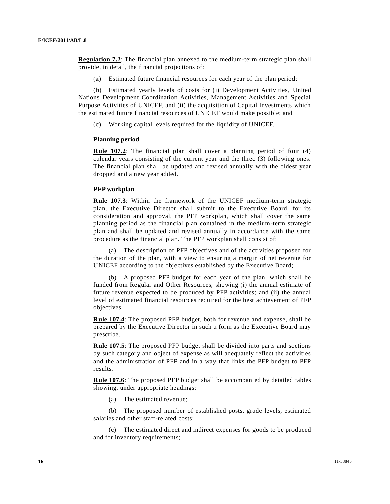**Regulation 7.2**: The financial plan annexed to the medium-term strategic plan shall provide, in detail, the financial projections of:

(a) Estimated future financial resources for each year of the plan period;

(b) Estimated yearly levels of costs for (i) Development Activities, United Nations Development Coordination Activities, Management Activities and Special Purpose Activities of UNICEF, and (ii) the acquisition of Capital Investments which the estimated future financial resources of UNICEF would make possible; and

(c) Working capital levels required for the liquidity of UNICEF.

#### **Planning period**

**Rule 107.2**: The financial plan shall cover a planning period of four (4) calendar years consisting of the current year and the three (3) following ones. The financial plan shall be updated and revised annually with the oldest year dropped and a new year added.

#### **PFP workplan**

**Rule 107.3**: Within the framework of the UNICEF medium-term strategic plan, the Executive Director shall submit to the Executive Board, for its consideration and approval, the PFP workplan, which shall cover the same planning period as the financial plan contained in the medium-term strategic plan and shall be updated and revised annually in accordance with the same procedure as the financial plan. The PFP workplan shall consist of:

(a) The description of PFP objectives and of the activities proposed for the duration of the plan, with a view to ensuring a margin of net revenue for UNICEF according to the objectives established by the Executive Board;

(b) A proposed PFP budget for each year of the plan, which shall be funded from Regular and Other Resources, showing (i) the annual estimate of future revenue expected to be produced by PFP activities; and (ii) the annual level of estimated financial resources required for the best achievement of PFP objectives.

**Rule 107.4**: The proposed PFP budget, both for revenue and expense, shall be prepared by the Executive Director in such a form as the Executive Board may prescribe.

**Rule 107.5**: The proposed PFP budget shall be divided into parts and sections by such category and object of expense as will adequately reflect the activities and the administration of PFP and in a way that links the PFP budget to PFP results.

**Rule 107.6**: The proposed PFP budget shall be accompanied by detailed tables showing, under appropriate headings:

(a) The estimated revenue;

(b) The proposed number of established posts, grade levels, estimated salaries and other staff-related costs;

(c) The estimated direct and indirect expenses for goods to be produced and for inventory requirements;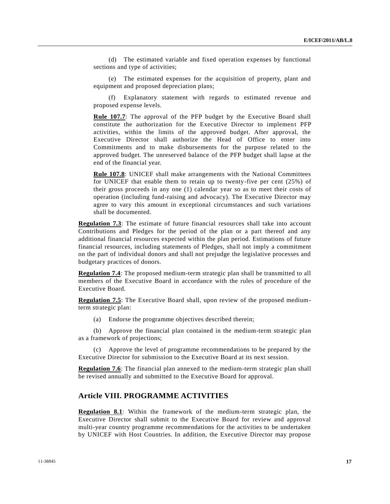(d) The estimated variable and fixed operation expenses by functional sections and type of activities;

(e) The estimated expenses for the acquisition of property, plant and equipment and proposed depreciation plans;

(f) Explanatory statement with regards to estimated revenue and proposed expense levels.

**Rule 107.7**: The approval of the PFP budget by the Executive Board shall constitute the authorization for the Executive Director to implement PFP activities, within the limits of the approved budget. After approval, the Executive Director shall authorize the Head of Office to enter into Commitments and to make disbursements for the purpose related to the approved budget. The unreserved balance of the PFP budget shall lapse at the end of the financial year.

Rule 107.8: UNICEF shall make arrangements with the National Committees for UNICEF that enable them to retain up to twenty-five per cent (25%) of their gross proceeds in any one (1) calendar year so as to meet their costs of operation (including fund-raising and advocacy). The Executive Director may agree to vary this amount in exceptional circumstances and such variations shall be documented.

**Regulation 7.3**: The estimate of future financial resources shall take into account Contributions and Pledges for the period of the plan or a part thereof and any additional financial resources expected within the plan period. Estimations of future financial resources, including statements of Pledges, shall not imply a commitment on the part of individual donors and shall not prejudge the legislative processes and budgetary practices of donors.

**Regulation 7.4**: The proposed medium-term strategic plan shall be transmitted to all members of the Executive Board in accordance with the rules of procedure of the Executive Board.

**Regulation 7.5**: The Executive Board shall, upon review of the proposed mediumterm strategic plan:

(a) Endorse the programme objectives described therein;

(b) Approve the financial plan contained in the medium-term strategic plan as a framework of projections;

(c) Approve the level of programme recommendations to be prepared by the Executive Director for submission to the Executive Board at its next session.

**Regulation 7.6**: The financial plan annexed to the medium-term strategic plan shall be revised annually and submitted to the Executive Board for approval.

## **Article VIII. PROGRAMME ACTIVITIES**

**Regulation 8.1**: Within the framework of the medium-term strategic plan, the Executive Director shall submit to the Executive Board for review and approval multi-year country programme recommendations for the activities to be undertaken by UNICEF with Host Countries. In addition, the Executive Director may propose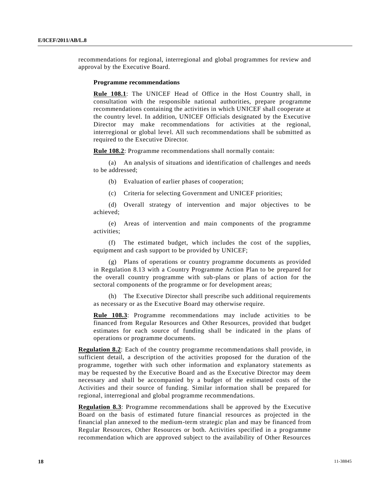recommendations for regional, interregional and global programmes for review and approval by the Executive Board.

#### **Programme recommendations**

Rule 108.1: The UNICEF Head of Office in the Host Country shall, in consultation with the responsible national authorities, prepare programme recommendations containing the activities in which UNICEF shall cooperate at the country level. In addition, UNICEF Officials designated by the Executive Director may make recommendations for activities at the regional, interregional or global level. All such recommendations shall be submitted as required to the Executive Director.

**Rule 108.2**: Programme recommendations shall normally contain:

(a) An analysis of situations and identification of challenges and needs to be addressed;

(b) Evaluation of earlier phases of cooperation;

(c) Criteria for selecting Government and UNICEF priorities;

(d) Overall strategy of intervention and major objectives to be achieved;

(e) Areas of intervention and main components of the programme activities;

(f) The estimated budget, which includes the cost of the supplies, equipment and cash support to be provided by UNICEF;

(g) Plans of operations or country programme documents as provided in Regulation 8.13 with a Country Programme Action Plan to be prepared for the overall country programme with sub-plans or plans of action for the sectoral components of the programme or for development areas;

(h) The Executive Director shall prescribe such additional requirements as necessary or as the Executive Board may otherwise require.

Rule 108.3: Programme recommendations may include activities to be financed from Regular Resources and Other Resources, provided that budget estimates for each source of funding shall be indicated in the plans of operations or programme documents.

**Regulation 8.2**: Each of the country programme recommendations shall provide, in sufficient detail, a description of the activities proposed for the duration of the programme, together with such other information and explanatory statements as may be requested by the Executive Board and as the Executive Director may deem necessary and shall be accompanied by a budget of the estimated costs of the Activities and their source of funding. Similar information shall be prepared for regional, interregional and global programme recommendations.

**Regulation 8.3**: Programme recommendations shall be approved by the Executive Board on the basis of estimated future financial resources as projected in the financial plan annexed to the medium-term strategic plan and may be financed from Regular Resources, Other Resources or both. Activities specified in a programme recommendation which are approved subject to the availability of Other Resources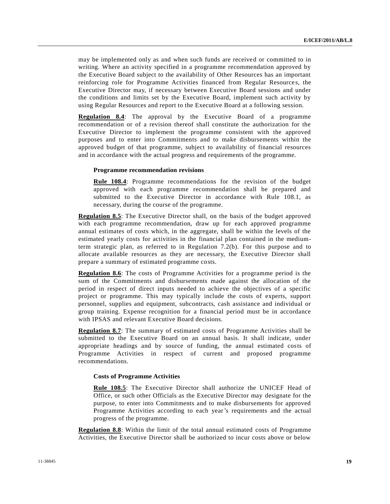may be implemented only as and when such funds are received or committed to in writing. Where an activity specified in a programme recommendation approved by the Executive Board subject to the availability of Other Resources has an important reinforcing role for Programme Activities financed from Regular Resource s, the Executive Director may, if necessary between Executive Board sessions and under the conditions and limits set by the Executive Board, implement such activity by using Regular Resources and report to the Executive Board at a following session.

**Regulation 8.4**: The approval by the Executive Board of a programme recommendation or of a revision thereof shall constitute the authorization for the Executive Director to implement the programme consistent with the approved purposes and to enter into Commitments and to make disbursements within the approved budget of that programme, subject to availability of financial resources and in accordance with the actual progress and requirements of the programme.

#### **Programme recommendation revisions**

Rule 108.4: Programme recommendations for the revision of the budget approved with each programme recommendation shall be prepared and submitted to the Executive Director in accordance with Rule 108.1, as necessary, during the course of the programme.

**Regulation 8.5**: The Executive Director shall, on the basis of the budget approved with each programme recommendation, draw up for each approved programme annual estimates of costs which, in the aggregate, shall be within the levels of the estimated yearly costs for activities in the financial plan contained in the mediumterm strategic plan, as referred to in Regulation 7.2(b). For this purpose and to allocate available resources as they are necessary, the Executive Director shall prepare a summary of estimated programme costs.

**Regulation 8.6**: The costs of Programme Activities for a programme period is the sum of the Commitments and disbursements made against the allocation of the period in respect of direct inputs needed to achieve the objectives of a specific project or programme. This may typically include the costs of experts, support personnel, supplies and equipment, subcontracts, cash assistance and individual or group training. Expense recognition for a financial period must be in accordance with IPSAS and relevant Executive Board decisions.

**Regulation 8.7**: The summary of estimated costs of Programme Activities shall be submitted to the Executive Board on an annual basis. It shall indicate, under appropriate headings and by source of funding, the annual estimated costs of Programme Activities in respect of current and proposed programme recommendations.

#### **Costs of Programme Activities**

**Rule 108.5**: The Executive Director shall authorize the UNICEF Head of Office, or such other Officials as the Executive Director may designate for the purpose, to enter into Commitments and to make disbursements for approved Programme Activities according to each year's requirements and the actual progress of the programme.

**Regulation 8.8**: Within the limit of the total annual estimated costs of Programme Activities, the Executive Director shall be authorized to incur costs above or below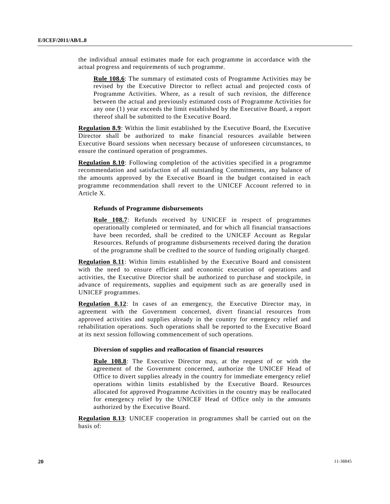the individual annual estimates made for each programme in accordance with the actual progress and requirements of such programme.

**Rule 108.6**: The summary of estimated costs of Programme Activities may be revised by the Executive Director to reflect actual and projected costs of Programme Activities. Where, as a result of such revision, the difference between the actual and previously estimated costs of Programme Activities for any one (1) year exceeds the limit established by the Executive Board, a report thereof shall be submitted to the Executive Board.

**Regulation 8.9**: Within the limit established by the Executive Board, the Executive Director shall be authorized to make financial resources available between Executive Board sessions when necessary because of unforeseen circumstances, to ensure the continued operation of programmes.

**Regulation 8.10**: Following completion of the activities specified in a programme recommendation and satisfaction of all outstanding Commitments, any balance of the amounts approved by the Executive Board in the budget contained in each programme recommendation shall revert to the UNICEF Account referred to in Article X.

#### **Refunds of Programme disbursements**

**Rule 108.7**: Refunds received by UNICEF in respect of programmes operationally completed or terminated, and for which all financial transactions have been recorded, shall be credited to the UNICEF Account as Regular Resources. Refunds of programme disbursements received during the duration of the programme shall be credited to the source of funding originally charged.

**Regulation 8.11**: Within limits established by the Executive Board and consistent with the need to ensure efficient and economic execution of operations and activities, the Executive Director shall be authorized to purchase and stockpile, in advance of requirements, supplies and equipment such as are generally used in UNICEF programmes.

**Regulation 8.12:** In cases of an emergency, the Executive Director may, in agreement with the Government concerned, divert financial resources from approved activities and supplies already in the country for emergency relief and rehabilitation operations. Such operations shall be reported to the Executive Board at its next session following commencement of such operations.

#### **Diversion of supplies and reallocation of financial resources**

**Rule 108.8**: The Executive Director may, at the request of or with the agreement of the Government concerned, authorize the UNICEF Head of Office to divert supplies already in the country for immediate emergency relief operations within limits established by the Executive Board. Resources allocated for approved Programme Activities in the country may be reallocated for emergency relief by the UNICEF Head of Office only in the amounts authorized by the Executive Board.

**Regulation 8.13**: UNICEF cooperation in programmes shall be carried out on the basis of: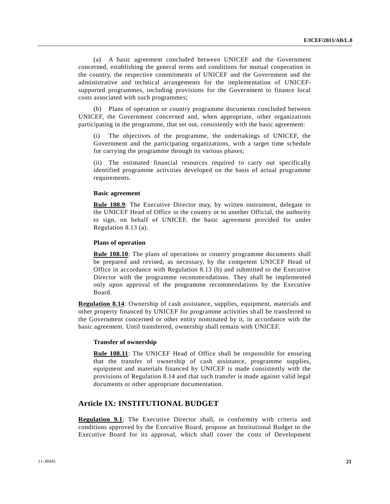(a) A basic agreement concluded between UNICEF and the Government concerned, establishing the general terms and conditions for mutual cooperation in the country, the respective commitments of UNICEF and the Government and the administrative and technical arrangements for the implementation of UNICEFsupported programmes, including provisions for the Government to finance local costs associated with such programmes;

(b) Plans of operation or country programme documents concluded between UNICEF, the Government concerned and, when appropriate, other organizations participating in the programme, that set out, consistently with the basic agreement:

The objectives of the programme, the undertakings of UNICEF, the Government and the participating organizations, with a target time schedule for carrying the programme through its various phases;

(ii) The estimated financial resources required to carry out specifically identified programme activities developed on the basis of actual programme requirements.

#### **Basic agreement**

**Rule 108.9**: The Executive Director may, by written instrument, delegate to the UNICEF Head of Office in the country or to another Official, the authority to sign, on behalf of UNICEF, the basic agreement provided for under Regulation 8.13 (a).

#### **Plans of operation**

**Rule 108.10**: The plans of operations or country programme documents shall be prepared and revised, as necessary, by the competent UNICEF Head of Office in accordance with Regulation 8.13 (b) and submitted to the Executive Director with the programme recommendations. They shall be implemented only upon approval of the programme recommendations by the Executive Board.

**Regulation 8.14**: Ownership of cash assistance, supplies, equipment, materials and other property financed by UNICEF for programme activities shall be transferred to the Government concerned or other entity nominated by it, in accordance with the basic agreement. Until transferred, ownership shall remain with UNICEF.

#### **Transfer of ownership**

**Rule 108.11**: The UNICEF Head of Office shall be responsible for ensuring that the transfer of ownership of cash assistance, programme supplies, equipment and materials financed by UNICEF is made consistently with the provisions of Regulation 8.14 and that such transfer is made against valid legal documents or other appropriate documentation.

## **Article IX: INSTITUTIONAL BUDGET**

**Regulation 9.1**: The Executive Director shall, in conformity with criteria and conditions approved by the Executive Board, propose an Institutional Budget to the Executive Board for its approval, which shall cover the costs of Development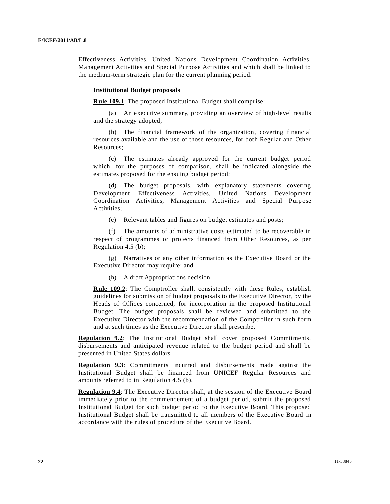Effectiveness Activities, United Nations Development Coordination Activities, Management Activities and Special Purpose Activities and which shall be linked to the medium-term strategic plan for the current planning period.

#### **Institutional Budget proposals**

**Rule 109.1**: The proposed Institutional Budget shall comprise:

(a) An executive summary, providing an overview of high-level results and the strategy adopted;

(b) The financial framework of the organization, covering financial resources available and the use of those resources, for both Regular and Other Resources;

(c) The estimates already approved for the current budget period which, for the purposes of comparison, shall be indicated alongside the estimates proposed for the ensuing budget period;

(d) The budget proposals, with explanatory statements covering Development Effectiveness Activities, United Nations Development Coordination Activities, Management Activities and Special Purpose Activities;

(e) Relevant tables and figures on budget estimates and posts;

(f) The amounts of administrative costs estimated to be recoverable in respect of programmes or projects financed from Other Resources, as per Regulation 4.5 (b);

(g) Narratives or any other information as the Executive Board or the Executive Director may require; and

(h) A draft Appropriations decision.

**Rule 109.2**: The Comptroller shall, consistently with these Rules, establish guidelines for submission of budget proposals to the Executive Director, by the Heads of Offices concerned, for incorporation in the proposed Institutional Budget. The budget proposals shall be reviewed and submitted to the Executive Director with the recommendation of the Comptroller in such form and at such times as the Executive Director shall prescribe.

**Regulation 9.2**: The Institutional Budget shall cover proposed Commitments, disbursements and anticipated revenue related to the budget period and shall be presented in United States dollars.

**Regulation 9.3**: Commitments incurred and disbursements made against the Institutional Budget shall be financed from UNICEF Regular Resources and amounts referred to in Regulation 4.5 (b).

**Regulation 9.4**: The Executive Director shall, at the session of the Executive Board immediately prior to the commencement of a budget period, submit the proposed Institutional Budget for such budget period to the Executive Board. This proposed Institutional Budget shall be transmitted to all members of the Executive Board in accordance with the rules of procedure of the Executive Board.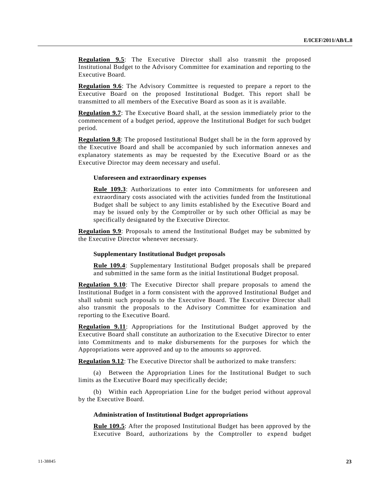**Regulation 9.5**: The Executive Director shall also transmit the proposed Institutional Budget to the Advisory Committee for examination and reporting to the Executive Board.

**Regulation 9.6**: The Advisory Committee is requested to prepare a report to the Executive Board on the proposed Institutional Budget. This report shall be transmitted to all members of the Executive Board as soon as it is available.

**Regulation 9.7**: The Executive Board shall, at the session immediately prior to the commencement of a budget period, approve the Institutional Budget for such budget period.

**Regulation 9.8**: The proposed Institutional Budget shall be in the form approved by the Executive Board and shall be accompanied by such information annexes and explanatory statements as may be requested by the Executive Board or as the Executive Director may deem necessary and useful.

#### **Unforeseen and extraordinary expenses**

**Rule 109.3**: Authorizations to enter into Commitments for unforeseen and extraordinary costs associated with the activities funded from the Institutional Budget shall be subject to any limits established by the Executive Board and may be issued only by the Comptroller or by such other Official as may be specifically designated by the Executive Director.

**Regulation 9.9**: Proposals to amend the Institutional Budget may be submitted by the Executive Director whenever necessary.

#### **Supplementary Institutional Budget proposals**

**Rule 109.4**: Supplementary Institutional Budget proposals shall be prepared and submitted in the same form as the initial Institutional Budget proposal.

**Regulation 9.10**: The Executive Director shall prepare proposals to amend the Institutional Budget in a form consistent with the approved Institutional Budget and shall submit such proposals to the Executive Board. The Executive Director shall also transmit the proposals to the Advisory Committee for examination and reporting to the Executive Board.

**Regulation 9.11**: Appropriations for the Institutional Budget approved by the Executive Board shall constitute an authorization to the Executive Director to enter into Commitments and to make disbursements for the purposes for which the Appropriations were approved and up to the amounts so approved.

**Regulation 9.12**: The Executive Director shall be authorized to make transfers:

(a) Between the Appropriation Lines for the Institutional Budget to such limits as the Executive Board may specifically decide;

(b) Within each Appropriation Line for the budget period without approval by the Executive Board.

#### **Administration of Institutional Budget appropriations**

**Rule 109.5**: After the proposed Institutional Budget has been approved by the Executive Board, authorizations by the Comptroller to expend budget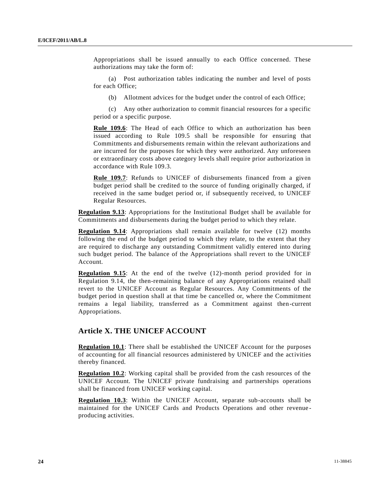Appropriations shall be issued annually to each Office concerned. These authorizations may take the form of:

(a) Post authorization tables indicating the number and level of posts for each Office;

(b) Allotment advices for the budget under the control of each Office;

(c) Any other authorization to commit financial resources for a specific period or a specific purpose.

Rule 109.6: The Head of each Office to which an authorization has been issued according to Rule 109.5 shall be responsible for ensuring that Commitments and disbursements remain within the relevant authorizations and are incurred for the purposes for which they were authorized. Any unforeseen or extraordinary costs above category levels shall require prior authorization in accordance with Rule 109.3.

**Rule 109.7**: Refunds to UNICEF of disbursements financed from a given budget period shall be credited to the source of funding originally charged, if received in the same budget period or, if subsequently received, to UNICEF Regular Resources.

**Regulation 9.13**: Appropriations for the Institutional Budget shall be available for Commitments and disbursements during the budget period to which they relate.

**Regulation 9.14**: Appropriations shall remain available for twelve (12) months following the end of the budget period to which they relate, to the extent that they are required to discharge any outstanding Commitment validly entered into during such budget period. The balance of the Appropriations shall revert to the UNICEF Account.

**Regulation 9.15**: At the end of the twelve (12)-month period provided for in Regulation 9.14, the then-remaining balance of any Appropriations retained shall revert to the UNICEF Account as Regular Resources. Any Commitments of the budget period in question shall at that time be cancelled or, where the Commitment remains a legal liability, transferred as a Commitment against then-current Appropriations.

## **Article X. THE UNICEF ACCOUNT**

**Regulation 10.1**: There shall be established the UNICEF Account for the purposes of accounting for all financial resources administered by UNICEF and the activities thereby financed.

**Regulation 10.2**: Working capital shall be provided from the cash resources of the UNICEF Account. The UNICEF private fundraising and partnerships operations shall be financed from UNICEF working capital.

**Regulation 10.3**: Within the UNICEF Account, separate sub-accounts shall be maintained for the UNICEF Cards and Products Operations and other revenue producing activities.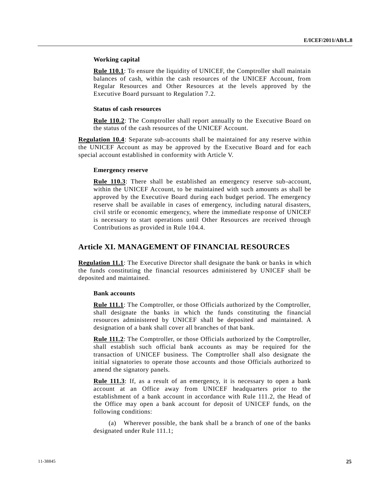#### **Working capital**

**Rule 110.1**: To ensure the liquidity of UNICEF, the Comptroller shall maintain balances of cash, within the cash resources of the UNICEF Account, from Regular Resources and Other Resources at the levels approved by the Executive Board pursuant to Regulation 7.2.

#### **Status of cash resources**

**Rule 110.2**: The Comptroller shall report annually to the Executive Board on the status of the cash resources of the UNICEF Account.

**Regulation 10.4**: Separate sub-accounts shall be maintained for any reserve within the UNICEF Account as may be approved by the Executive Board and for each special account established in conformity with Article V.

#### **Emergency reserve**

**Rule 110.3**: There shall be established an emergency reserve sub-account, within the UNICEF Account, to be maintained with such amounts as shall be approved by the Executive Board during each budget period. The emergency reserve shall be available in cases of emergency, including natural disasters, civil strife or economic emergency, where the immediate response of UNICEF is necessary to start operations until Other Resources are received through Contributions as provided in Rule 104.4.

## **Article XI. MANAGEMENT OF FINANCIAL RESOURCES**

**Regulation 11.1**: The Executive Director shall designate the bank or banks in which the funds constituting the financial resources administered by UNICEF shall be deposited and maintained.

#### **Bank accounts**

**Rule 111.1**: The Comptroller, or those Officials authorized by the Comptroller, shall designate the banks in which the funds constituting the financial resources administered by UNICEF shall be deposited and maintained. A designation of a bank shall cover all branches of that bank.

**Rule 111.2**: The Comptroller, or those Officials authorized by the Comptroller, shall establish such official bank accounts as may be required for the transaction of UNICEF business. The Comptroller shall also designate the initial signatories to operate those accounts and those Officials authorized to amend the signatory panels.

**Rule 111.3**: If, as a result of an emergency, it is necessary to open a bank account at an Office away from UNICEF headquarters prior to the establishment of a bank account in accordance with Rule 111.2, the Head of the Office may open a bank account for deposit of UNICEF funds, on the following conditions:

(a) Wherever possible, the bank shall be a branch of one of the banks designated under Rule 111.1;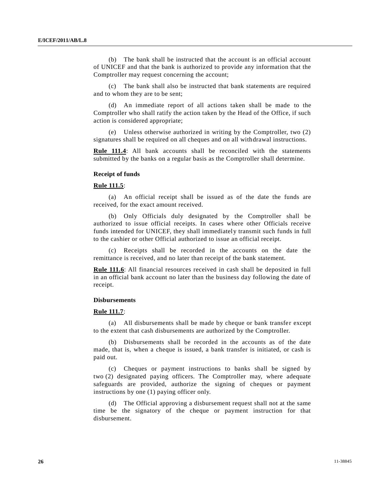(b) The bank shall be instructed that the account is an official account of UNICEF and that the bank is authorized to provide any information that the Comptroller may request concerning the account;

(c) The bank shall also be instructed that bank statements are required and to whom they are to be sent;

(d) An immediate report of all actions taken shall be made to the Comptroller who shall ratify the action taken by the Head of the Office, if such action is considered appropriate;

Unless otherwise authorized in writing by the Comptroller, two  $(2)$ signatures shall be required on all cheques and on all withdrawal instructions.

Rule 111.4: All bank accounts shall be reconciled with the statements submitted by the banks on a regular basis as the Comptroller shall determine.

#### **Receipt of funds**

#### **Rule 111.5**:

(a) An official receipt shall be issued as of the date the funds are received, for the exact amount received.

(b) Only Officials duly designated by the Comptroller shall be authorized to issue official receipts. In cases where other Officials receive funds intended for UNICEF, they shall immediately transmit such funds in full to the cashier or other Official authorized to issue an official receipt.

(c) Receipts shall be recorded in the accounts on the date the remittance is received, and no later than receipt of the bank statement.

**Rule 111.6**: All financial resources received in cash shall be deposited in full in an official bank account no later than the business day following the date of receipt.

#### **Disbursements**

#### **Rule 111.7**:

(a) All disbursements shall be made by cheque or bank transfer except to the extent that cash disbursements are authorized by the Comptroller.

(b) Disbursements shall be recorded in the accounts as of the date made, that is, when a cheque is issued, a bank transfer is initiated, or cash is paid out.

(c) Cheques or payment instructions to banks shall be signed by two (2) designated paying officers. The Comptroller may, where adequate safeguards are provided, authorize the signing of cheques or payment instructions by one (1) paying officer only.

The Official approving a disbursement request shall not at the same time be the signatory of the cheque or payment instruction for that disbursement.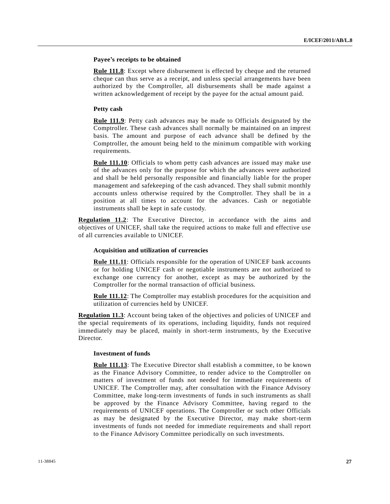#### **Payee's receipts to be obtained**

**Rule 111.8**: Except where disbursement is effected by cheque and the returned cheque can thus serve as a receipt, and unless special arrangements have been authorized by the Comptroller, all disbursements shall be made against a written acknowledgement of receipt by the payee for the actual amount paid.

#### **Petty cash**

**Rule 111.9**: Petty cash advances may be made to Officials designated by the Comptroller. These cash advances shall normally be maintained on an imprest basis. The amount and purpose of each advance shall be defined by the Comptroller, the amount being held to the minimum compatible with working requirements.

**Rule 111.10**: Officials to whom petty cash advances are issued may make use of the advances only for the purpose for which the advances were authorized and shall be held personally responsible and financially liable for the proper management and safekeeping of the cash advanced. They shall submit monthly accounts unless otherwise required by the Comptroller. They shall be in a position at all times to account for the advances. Cash or negotiable instruments shall be kept in safe custody.

**Regulation 11.2**: The Executive Director, in accordance with the aims and objectives of UNICEF, shall take the required actions to make full and effective use of all currencies available to UNICEF.

#### **Acquisition and utilization of currencies**

**Rule 111.11**: Officials responsible for the operation of UNICEF bank accounts or for holding UNICEF cash or negotiable instruments are not authorized to exchange one currency for another, except as may be authorized by the Comptroller for the normal transaction of official business.

**Rule 111.12**: The Comptroller may establish procedures for the acquisition and utilization of currencies held by UNICEF.

**Regulation 11.3**: Account being taken of the objectives and policies of UNICEF and the special requirements of its operations, including liquidity, funds not required immediately may be placed, mainly in short-term instruments, by the Executive Director.

#### **Investment of funds**

**Rule 111.13**: The Executive Director shall establish a committee, to be known as the Finance Advisory Committee, to render advice to the Comptroller on matters of investment of funds not needed for immediate requirements of UNICEF. The Comptroller may, after consultation with the Finance Advisory Committee, make long-term investments of funds in such instruments as shall be approved by the Finance Advisory Committee, having regard to the requirements of UNICEF operations. The Comptroller or such other Officials as may be designated by the Executive Director, may make short-term investments of funds not needed for immediate requirements and shall report to the Finance Advisory Committee periodically on such investments.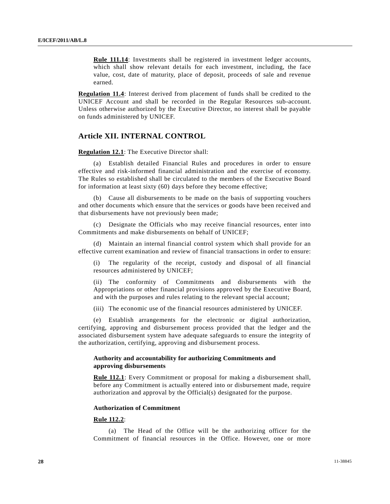Rule 111.14: Investments shall be registered in investment ledger accounts, which shall show relevant details for each investment, including, the face value, cost, date of maturity, place of deposit, proceeds of sale and revenue earned.

**Regulation 11.4**: Interest derived from placement of funds shall be credited to the UNICEF Account and shall be recorded in the Regular Resources sub-account. Unless otherwise authorized by the Executive Director, no interest shall be payable on funds administered by UNICEF.

## **Article XII. INTERNAL CONTROL**

**Regulation 12.1**: The Executive Director shall:

(a) Establish detailed Financial Rules and procedures in order to ensure effective and risk-informed financial administration and the exercise of economy. The Rules so established shall be circulated to the members of the Executive Board for information at least sixty (60) days before they become effective;

(b) Cause all disbursements to be made on the basis of supporting vouchers and other documents which ensure that the services or goods have been received and that disbursements have not previously been made;

(c) Designate the Officials who may receive financial resources, enter into Commitments and make disbursements on behalf of UNICEF;

(d) Maintain an internal financial control system which shall provide for an effective current examination and review of financial transactions in order to ensure:

(i) The regularity of the receipt, custody and disposal of all financial resources administered by UNICEF;

(ii) The conformity of Commitments and disbursements with the Appropriations or other financial provisions approved by the Executive Board, and with the purposes and rules relating to the relevant special account;

(iii) The economic use of the financial resources administered by UNICEF.

(e) Establish arrangements for the electronic or digital authorization, certifying, approving and disbursement process provided that the ledger and the associated disbursement system have adequate safeguards to ensure the integrity of the authorization, certifying, approving and disbursement process.

### **Authority and accountability for authorizing Commitments and approving disbursements**

**Rule 112.1**: Every Commitment or proposal for making a disbursement shall, before any Commitment is actually entered into or disbursement made, require authorization and approval by the Official(s) designated for the purpose.

#### **Authorization of Commitment**

#### **Rule 112.2**:

(a) The Head of the Office will be the authorizing officer for the Commitment of financial resources in the Office. However, one or more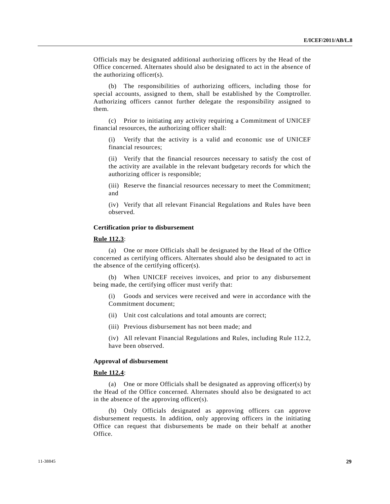Officials may be designated additional authorizing officers by the Head of the Office concerned. Alternates should also be designated to act in the absence of the authorizing officer(s).

(b) The responsibilities of authorizing officers, including those for special accounts, assigned to them, shall be established by the Comptroller. Authorizing officers cannot further delegate the responsibility assigned to them.

(c) Prior to initiating any activity requiring a Commitment of UNICEF financial resources, the authorizing officer shall:

(i) Verify that the activity is a valid and economic use of UNICEF financial resources;

(ii) Verify that the financial resources necessary to satisfy the cost of the activity are available in the relevant budgetary records for which the authorizing officer is responsible;

(iii) Reserve the financial resources necessary to meet the Commitment; and

(iv) Verify that all relevant Financial Regulations and Rules have been observed.

#### **Certification prior to disbursement**

#### **Rule 112.3**:

(a) One or more Officials shall be designated by the Head of the Office concerned as certifying officers. Alternates should also be designated to act in the absence of the certifying officer(s).

(b) When UNICEF receives invoices, and prior to any disbursement being made, the certifying officer must verify that:

(i) Goods and services were received and were in accordance with the Commitment document;

- (ii) Unit cost calculations and total amounts are correct;
- (iii) Previous disbursement has not been made; and

(iv) All relevant Financial Regulations and Rules, including Rule 112.2, have been observed.

#### **Approval of disbursement**

#### **Rule 112.4**:

(a) One or more Officials shall be designated as approving officer(s) by the Head of the Office concerned. Alternates should also be designated to act in the absence of the approving officer(s).

(b) Only Officials designated as approving officers can approve disbursement requests. In addition, only approving officers in the initiating Office can request that disbursements be made on their behalf at another Office.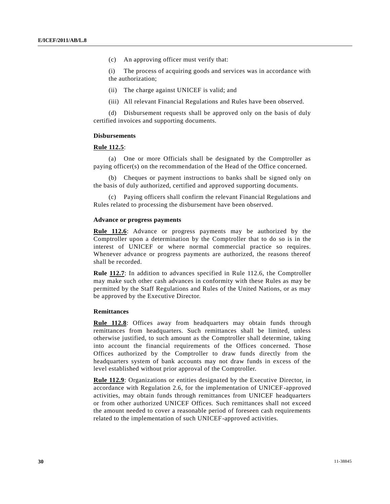(c) An approving officer must verify that:

(i) The process of acquiring goods and services was in accordance with the authorization;

- (ii) The charge against UNICEF is valid; and
- (iii) All relevant Financial Regulations and Rules have been observed.

(d) Disbursement requests shall be approved only on the basis of duly certified invoices and supporting documents.

#### **Disbursements**

#### **Rule 112.5**:

(a) One or more Officials shall be designated by the Comptroller as paying officer(s) on the recommendation of the Head of the Office concerned.

(b) Cheques or payment instructions to banks shall be signed only on the basis of duly authorized, certified and approved supporting documents.

(c) Paying officers shall confirm the relevant Financial Regulations and Rules related to processing the disbursement have been observed.

#### **Advance or progress payments**

**Rule 112.6**: Advance or progress payments may be authorized by the Comptroller upon a determination by the Comptroller that to do so is in the interest of UNICEF or where normal commercial practice so requires. Whenever advance or progress payments are authorized, the reasons thereof shall be recorded.

**Rule 112.7**: In addition to advances specified in Rule 112.6, the Comptroller may make such other cash advances in conformity with these Rules as may be permitted by the Staff Regulations and Rules of the United Nations, or as may be approved by the Executive Director.

## **Remittances**

**Rule 112.8**: Offices away from headquarters may obtain funds through remittances from headquarters. Such remittances shall be limited, unless otherwise justified, to such amount as the Comptroller shall determine, taking into account the financial requirements of the Offices concerned. Those Offices authorized by the Comptroller to draw funds directly from the headquarters system of bank accounts may not draw funds in excess of the level established without prior approval of the Comptroller.

**Rule 112.9**: Organizations or entities designated by the Executive Director, in accordance with Regulation 2.6, for the implementation of UNICEF-approved activities, may obtain funds through remittances from UNICEF headquarters or from other authorized UNICEF Offices. Such remittances shall not exceed the amount needed to cover a reasonable period of foreseen cash requirements related to the implementation of such UNICEF-approved activities.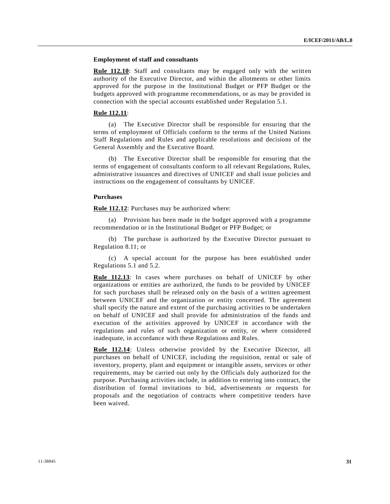#### **Employment of staff and consultants**

**Rule 112.10**: Staff and consultants may be engaged only with the written authority of the Executive Director, and within the allotments or other limits approved for the purpose in the Institutional Budget or PFP Budget or the budgets approved with programme recommendations, or as may be provided in connection with the special accounts established under Regulation 5.1.

#### **Rule 112.11**:

(a) The Executive Director shall be responsible for ensuring that the terms of employment of Officials conform to the terms of the United Nations Staff Regulations and Rules and applicable resolutions and decisions of the General Assembly and the Executive Board.

(b) The Executive Director shall be responsible for ensuring that the terms of engagement of consultants conform to all relevant Regulations, Rules, administrative issuances and directives of UNICEF and shall issue policies and instructions on the engagement of consultants by UNICEF.

#### **Purchases**

**Rule 112.12**: Purchases may be authorized where:

(a) Provision has been made in the budget approved with a programme recommendation or in the Institutional Budget or PFP Budget; or

(b) The purchase is authorized by the Executive Director pursuant to Regulation 8.11; or

(c) A special account for the purpose has been established under Regulations 5.1 and 5.2.

**Rule 112.13**: In cases where purchases on behalf of UNICEF by other organizations or entities are authorized, the funds to be provided by UNICEF for such purchases shall be released only on the basis of a written agreement between UNICEF and the organization or entity concerned. The agreement shall specify the nature and extent of the purchasing activities to be undertaken on behalf of UNICEF and shall provide for administration of the funds and execution of the activities approved by UNICEF in accordance with the regulations and rules of such organization or entity, or where considered inadequate, in accordance with these Regulations and Rules.

Rule 112.14: Unless otherwise provided by the Executive Director, all purchases on behalf of UNICEF, including the requisition, rental or sale of inventory, property, plant and equipment or intangible assets, services or other requirements, may be carried out only by the Officials duly authorized for the purpose. Purchasing activities include, in addition to entering into contract, the distribution of formal invitations to bid, advertisements or requests for proposals and the negotiation of contracts where competitive tenders have been waived.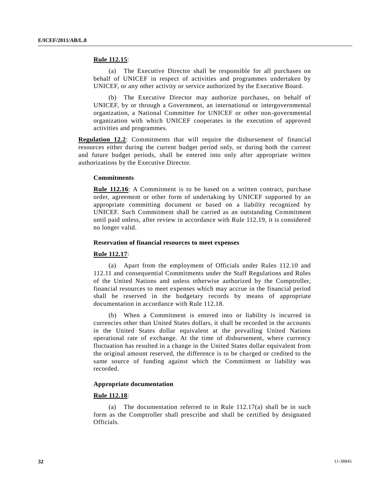#### **Rule 112.15**:

(a) The Executive Director shall be responsible for all purchases on behalf of UNICEF in respect of activities and programmes undertaken by UNICEF, or any other activity or service authorized by the Executive Board.

(b) The Executive Director may authorize purchases, on behalf of UNICEF, by or through a Government, an international or intergovernmental organization, a National Committee for UNICEF or other non-governmental organization with which UNICEF cooperates in the execution of approved activities and programmes.

**Regulation 12.2**: Commitments that will require the disbursement of financial resources either during the current budget period only, or during both the current and future budget periods, shall be entered into only after appropriate written authorizations by the Executive Director.

#### **Commitments**

**Rule 112.16**: A Commitment is to be based on a written contract, purchase order, agreement or other form of undertaking by UNICEF supported by an appropriate committing document or based on a liability recognized by UNICEF. Such Commitment shall be carried as an outstanding Commitment until paid unless, after review in accordance with Rule 112.19, it is considered no longer valid.

#### **Reservation of financial resources to meet expenses**

#### **Rule 112.17**:

(a) Apart from the employment of Officials under Rules 112.10 and 112.11 and consequential Commitments under the Staff Regulations and Rules of the United Nations and unless otherwise authorized by the Comptroller, financial resources to meet expenses which may accrue in the financial period shall be reserved in the budgetary records by means of appropriate documentation in accordance with Rule 112.18.

(b) When a Commitment is entered into or liability is incurred in currencies other than United States dollars, it shall be recorded in the accounts in the United States dollar equivalent at the prevailing United Nations operational rate of exchange. At the time of disbursement, where currency fluctuation has resulted in a change in the United States dollar equivalent from the original amount reserved, the difference is to be charged or credited to the same source of funding against which the Commitment or liability was recorded.

#### **Appropriate documentation**

#### **Rule 112.18**:

(a) The documentation referred to in Rule 112.17(a) shall be in such form as the Comptroller shall prescribe and shall be certified by designated Officials.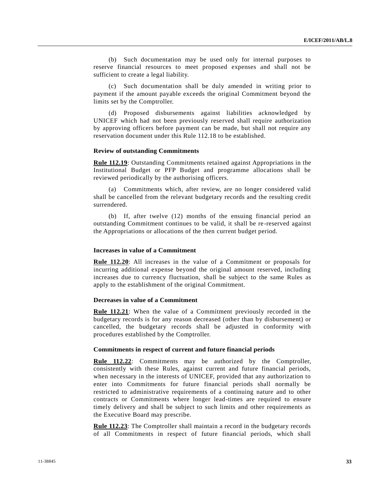(b) Such documentation may be used only for internal purposes to reserve financial resources to meet proposed expenses and shall not be sufficient to create a legal liability.

(c) Such documentation shall be duly amended in writing prior to payment if the amount payable exceeds the original Commitment beyond the limits set by the Comptroller.

(d) Proposed disbursements against liabilities acknowledged by UNICEF which had not been previously reserved shall require authorization by approving officers before payment can be made, but shall not require any reservation document under this Rule 112.18 to be established.

#### **Review of outstanding Commitments**

**Rule 112.19**: Outstanding Commitments retained against Appropriations in the Institutional Budget or PFP Budget and programme allocations shall be reviewed periodically by the authorising officers.

(a) Commitments which, after review, are no longer considered valid shall be cancelled from the relevant budgetary records and the resulting credit surrendered.

(b) If, after twelve (12) months of the ensuing financial period an outstanding Commitment continues to be valid, it shall be re -reserved against the Appropriations or allocations of the then current budget period.

#### **Increases in value of a Commitment**

**Rule 112.20**: All increases in the value of a Commitment or proposals for incurring additional expense beyond the original amount reserved, including increases due to currency fluctuation, shall be subject to the same Rules as apply to the establishment of the original Commitment.

#### **Decreases in value of a Commitment**

**Rule 112.21**: When the value of a Commitment previously recorded in the budgetary records is for any reason decreased (other than by disbursement) or cancelled, the budgetary records shall be adjusted in conformity with procedures established by the Comptroller.

#### **Commitments in respect of current and future financial periods**

**Rule 112.22**: Commitments may be authorized by the Comptroller, consistently with these Rules, against current and future financial periods, when necessary in the interests of UNICEF, provided that any authorization to enter into Commitments for future financial periods shall normally be restricted to administrative requirements of a continuing nature and to other contracts or Commitments where longer lead-times are required to ensure timely delivery and shall be subject to such limits and other requirements as the Executive Board may prescribe.

**Rule 112.23**: The Comptroller shall maintain a record in the budgetary records of all Commitments in respect of future financial periods, which shall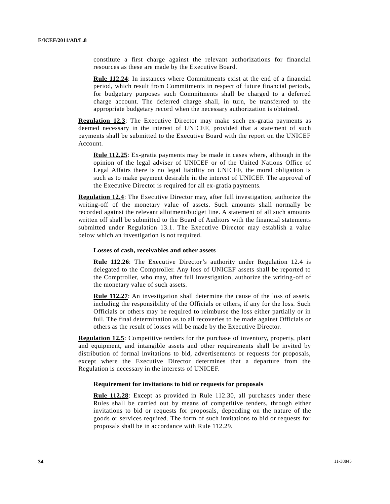constitute a first charge against the relevant authorizations for financial resources as these are made by the Executive Board.

**Rule 112.24**: In instances where Commitments exist at the end of a financial period, which result from Commitments in respect of future financial periods, for budgetary purposes such Commitments shall be charged to a deferred charge account. The deferred charge shall, in turn, be transferred to the appropriate budgetary record when the necessary authorization is obtained.

**Regulation 12.3**: The Executive Director may make such ex-gratia payments as deemed necessary in the interest of UNICEF, provided that a statement of such payments shall be submitted to the Executive Board with the report on the UNICEF Account.

**Rule 112.25**: Ex-gratia payments may be made in cases where, although in the opinion of the legal adviser of UNICEF or of the United Nations Office of Legal Affairs there is no legal liability on UNICEF, the moral obligation is such as to make payment desirable in the interest of UNICEF. The approval of the Executive Director is required for all ex-gratia payments.

**Regulation 12.4**: The Executive Director may, after full investigation, authorize the writing-off of the monetary value of assets. Such amounts shall normally be recorded against the relevant allotment/budget line. A statement of all such amounts written off shall be submitted to the Board of Auditors with the financial statements submitted under Regulation 13.1. The Executive Director may establish a value below which an investigation is not required.

#### **Losses of cash, receivables and other assets**

**Rule 112.26**: The Executive Director's authority under Regulation 12.4 is delegated to the Comptroller. Any loss of UNICEF assets shall be reported to the Comptroller, who may, after full investigation, authorize the writing-off of the monetary value of such assets.

**Rule 112.27**: An investigation shall determine the cause of the loss of assets, including the responsibility of the Officials or others, if any for the loss. Such Officials or others may be required to reimburse the loss either partially or in full. The final determination as to all recoveries to be made against Officials or others as the result of losses will be made by the Executive Director.

**Regulation 12.5**: Competitive tenders for the purchase of inventory, property, plant and equipment, and intangible assets and other requirements shall be invited by distribution of formal invitations to bid, advertisements or requests for proposals, except where the Executive Director determines that a departure from the Regulation is necessary in the interests of UNICEF.

#### **Requirement for invitations to bid or requests for proposals**

**Rule 112.28**: Except as provided in Rule 112.30, all purchases under these Rules shall be carried out by means of competitive tenders, through either invitations to bid or requests for proposals, depending on the nature of the goods or services required. The form of such invitations to bid or requests for proposals shall be in accordance with Rule 112.29.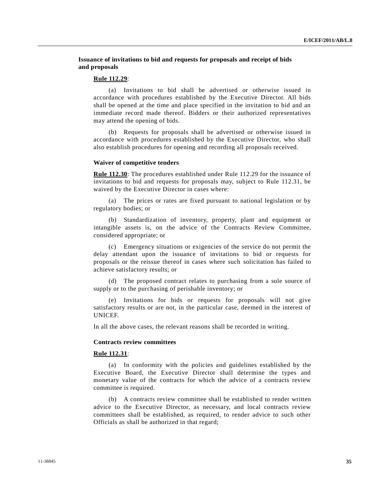**Issuance of invitations to bid and requests for proposals and receipt of bids and proposals** 

#### **Rule 112.29**:

(a) Invitations to bid shall be advertised or otherwise issued in accordance with procedures established by the Executive Director. All bids shall be opened at the time and place specified in the invitation to bid and an immediate record made thereof. Bidders or their authorized representatives may attend the opening of bids.

(b) Requests for proposals shall be advertised or otherwise issued in accordance with procedures established by the Executive Director, who shall also establish procedures for opening and recording all proposals received.

#### **Waiver of competitive tenders**

**Rule 112.30**: The procedures established under Rule 112.29 for the issuance of invitations to bid and requests for proposals may, subject to Rule 112.31, be waived by the Executive Director in cases where:

(a) The prices or rates are fixed pursuant to national legislation or by regulatory bodies; or

(b) Standardization of inventory, property, plant and equipment or intangible assets is, on the advice of the Contracts Review Committee, considered appropriate; or

(c) Emergency situations or exigencies of the service do not permit the delay attendant upon the issuance of invitations to bid or requests for proposals or the reissue thereof in cases where such solicitation has failed to achieve satisfactory results; or

(d) The proposed contract relates to purchasing from a sole source of supply or to the purchasing of perishable inventory; or

Invitations for bids or requests for proposals will not give satisfactory results or are not, in the particular case, deemed in the interest of UNICEF.

In all the above cases, the relevant reasons shall be recorded in writing.

#### **Contracts review committees**

#### **Rule 112.31**:

(a) In conformity with the policies and guidelines established by the Executive Board, the Executive Director shall determine the types and monetary value of the contracts for which the advice of a contracts review committee is required.

(b) A contracts review committee shall be established to render written advice to the Executive Director, as necessary, and local contracts review committees shall be established, as required, to render advice to such other Officials as shall be authorized in that regard;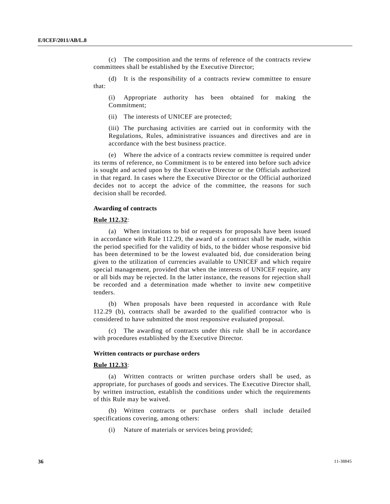(c) The composition and the terms of reference of the contracts review committees shall be established by the Executive Director;

(d) It is the responsibility of a contracts review committee to ensure that:

(i) Appropriate authority has been obtained for making the Commitment;

(ii) The interests of UNICEF are protected;

(iii) The purchasing activities are carried out in conformity with the Regulations, Rules, administrative issuances and directives and are in accordance with the best business practice.

(e) Where the advice of a contracts review committee is required under its terms of reference, no Commitment is to be entered into before such advice is sought and acted upon by the Executive Director or the Officials authorized in that regard. In cases where the Executive Director or the Official authorized decides not to accept the advice of the committee, the reasons for such decision shall be recorded.

#### **Awarding of contracts**

#### **Rule 112.32**:

(a) When invitations to bid or requests for proposals have been issued in accordance with Rule 112.29, the award of a contract shall be made, within the period specified for the validity of bids, to the bidder whose responsive bid has been determined to be the lowest evaluated bid, due consideration being given to the utilization of currencies available to UNICEF and which require special management, provided that when the interests of UNICEF require, any or all bids may be rejected. In the latter instance, the reasons for rejection shall be recorded and a determination made whether to invite new competitive tenders.

(b) When proposals have been requested in accordance with Rule 112.29 (b), contracts shall be awarded to the qualified contractor who is considered to have submitted the most responsive evaluated proposal.

(c) The awarding of contracts under this rule shall be in accordance with procedures established by the Executive Director.

#### **Written contracts or purchase orders**

#### **Rule 112.33**:

(a) Written contracts or written purchase orders shall be used, as appropriate, for purchases of goods and services. The Executive Director shall, by written instruction, establish the conditions under which the requirements of this Rule may be waived.

(b) Written contracts or purchase orders shall include detailed specifications covering, among others:

(i) Nature of materials or services being provided;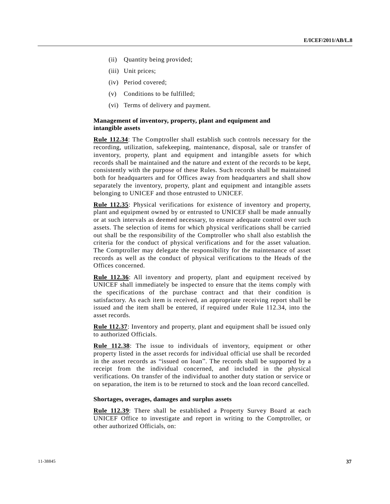- (ii) Quantity being provided;
- (iii) Unit prices;
- (iv) Period covered;
- (v) Conditions to be fulfilled;
- (vi) Terms of delivery and payment.

#### **Management of inventory, property, plant and equipment and intangible assets**

**Rule 112.34**: The Comptroller shall establish such controls necessary for the recording, utilization, safekeeping, maintenance, disposal, sale or transfer of inventory, property, plant and equipment and intangible assets for which records shall be maintained and the nature and extent of the records to be kept, consistently with the purpose of these Rules. Such records shall be maintained both for headquarters and for Offices away from headquarters and shall show separately the inventory, property, plant and equipment and intangible assets belonging to UNICEF and those entrusted to UNICEF.

**Rule 112.35**: Physical verifications for existence of inventory and property, plant and equipment owned by or entrusted to UNICEF shall be made annually or at such intervals as deemed necessary, to ensure adequate control over such assets. The selection of items for which physical verifications shall be carried out shall be the responsibility of the Comptroller who shall also establish the criteria for the conduct of physical verifications and for the asset valuation. The Comptroller may delegate the responsibility for the maintenance of asset records as well as the conduct of physical verifications to the Heads of the Offices concerned.

**Rule 112.36**: All inventory and property, plant and equipment received by UNICEF shall immediately be inspected to ensure that the items comply with the specifications of the purchase contract and that their condition is satisfactory. As each item is received, an appropriate receiving report shall be issued and the item shall be entered, if required under Rule 112.34, into the asset records.

**Rule 112.37**: Inventory and property, plant and equipment shall be issued only to authorized Officials.

**Rule 112.38**: The issue to individuals of inventory, equipment or other property listed in the asset records for individual official use shall be recorded in the asset records as "issued on loan". The records shall be supported by a receipt from the individual concerned, and included in the physical verifications. On transfer of the individual to another duty station or service or on separation, the item is to be returned to stock and the loan record cancelled.

#### **Shortages, overages, damages and surplus assets**

**Rule 112.39**: There shall be established a Property Survey Board at each UNICEF Office to investigate and report in writing to the Comptroller, or other authorized Officials, on: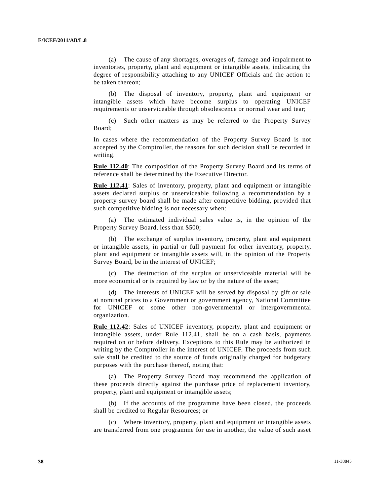(a) The cause of any shortages, overages of, damage and impairment to inventories, property, plant and equipment or intangible assets, indicating the degree of responsibility attaching to any UNICEF Officials and the action to be taken thereon;

(b) The disposal of inventory, property, plant and equipment or intangible assets which have become surplus to operating UNICEF requirements or unserviceable through obsolescence or normal wear and tear;

(c) Such other matters as may be referred to the Property Survey Board;

In cases where the recommendation of the Property Survey Board is not accepted by the Comptroller, the reasons for such decision shall be recorded in writing.

**Rule 112.40**: The composition of the Property Survey Board and its terms of reference shall be determined by the Executive Director.

**Rule 112.41**: Sales of inventory, property, plant and equipment or intangible assets declared surplus or unserviceable following a recommendation by a property survey board shall be made after competitive bidding, provided that such competitive bidding is not necessary when:

(a) The estimated individual sales value is, in the opinion of the Property Survey Board, less than \$500;

(b) The exchange of surplus inventory, property, plant and equipment or intangible assets, in partial or full payment for other inventory, property, plant and equipment or intangible assets will, in the opinion of the Property Survey Board, be in the interest of UNICEF;

The destruction of the surplus or unserviceable material will be more economical or is required by law or by the nature of the asset;

(d) The interests of UNICEF will be served by disposal by gift or sale at nominal prices to a Government or government agency, National Committee for UNICEF or some other non-governmental or intergovernmental organization.

**Rule 112.42**: Sales of UNICEF inventory, property, plant and equipment or intangible assets, under Rule 112.41, shall be on a cash basis, payments required on or before delivery. Exceptions to this Rule may be authorized in writing by the Comptroller in the interest of UNICEF. The proceeds from such sale shall be credited to the source of funds originally charged for budgetary purposes with the purchase thereof, noting that:

(a) The Property Survey Board may recommend the application of these proceeds directly against the purchase price of replacement inventory, property, plant and equipment or intangible assets;

(b) If the accounts of the programme have been closed, the proceeds shall be credited to Regular Resources; or

(c) Where inventory, property, plant and equipment or intangible assets are transferred from one programme for use in another, the value of such asset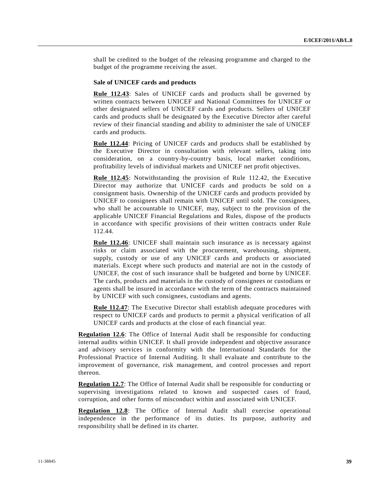shall be credited to the budget of the releasing programme and charged to the budget of the programme receiving the asset.

#### **Sale of UNICEF cards and products**

**Rule 112.43**: Sales of UNICEF cards and products shall be governed by written contracts between UNICEF and National Committees for UNICEF or other designated sellers of UNICEF cards and products. Sellers of UNICEF cards and products shall be designated by the Executive Director after careful review of their financial standing and ability to administer the sale of UNICEF cards and products.

**Rule 112.44:** Pricing of UNICEF cards and products shall be established by the Executive Director in consultation with relevant sellers, taking into consideration, on a country-by-country basis, local market conditions, profitability levels of individual markets and UNICEF net profit objectives.

**Rule 112.45**: Notwithstanding the provision of Rule 112.42, the Executive Director may authorize that UNICEF cards and products be sold on a consignment basis. Ownership of the UNICEF cards and products provided by UNICEF to consignees shall remain with UNICEF until sold. The consignees, who shall be accountable to UNICEF, may, subject to the provision of the applicable UNICEF Financial Regulations and Rules, dispose of the products in accordance with specific provisions of their written contracts under Rule 112.44.

**Rule 112.46**: UNICEF shall maintain such insurance as is necessary against risks or claim associated with the procurement, warehousing, shipment, supply, custody or use of any UNICEF cards and products or associated materials. Except where such products and material are not in the custody of UNICEF, the cost of such insurance shall be budgeted and borne by UNICEF. The cards, products and materials in the custody of consignees or custodians or agents shall be insured in accordance with the term of the contracts maintained by UNICEF with such consignees, custodians and agents.

**Rule 112.47**: The Executive Director shall establish adequate procedures with respect to UNICEF cards and products to permit a physical verification of all UNICEF cards and products at the close of each financial year.

**Regulation 12.6**: The Office of Internal Audit shall be responsible for conducting internal audits within UNICEF. It shall provide independent and objective assurance and advisory services in conformity with the International Standards for the Professional Practice of Internal Auditing. It shall evaluate and contribute to the improvement of governance, risk management, and control processes and report thereon.

**Regulation 12.7**: The Office of Internal Audit shall be responsible for conducting or supervising investigations related to known and suspected cases of fraud, corruption, and other forms of misconduct within and associated with UNICEF.

**Regulation 12.8**: The Office of Internal Audit shall exercise operational independence in the performance of its duties. Its purpose, authority and responsibility shall be defined in its charter.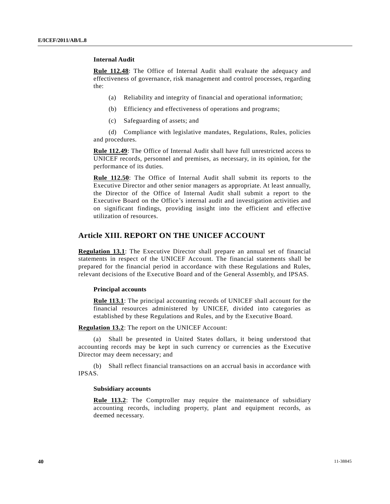#### **Internal Audit**

**Rule 112.48**: The Office of Internal Audit shall evaluate the adequacy and effectiveness of governance, risk management and control processes, regarding the:

- (a) Reliability and integrity of financial and operational information;
- (b) Efficiency and effectiveness of operations and programs;
- (c) Safeguarding of assets; and

(d) Compliance with legislative mandates, Regulations, Rules, policies and procedures.

**Rule 112.49**: The Office of Internal Audit shall have full unrestricted access to UNICEF records, personnel and premises, as necessary, in its opinion, for the performance of its duties.

**Rule 112.50**: The Office of Internal Audit shall submit its reports to the Executive Director and other senior managers as appropriate. At least annually, the Director of the Office of Internal Audit shall submit a report to the Executive Board on the Office's internal audit and investigation activities and on significant findings, providing insight into the efficient and effective utilization of resources.

## **Article XIII. REPORT ON THE UNICEF ACCOUNT**

**Regulation 13.1**: The Executive Director shall prepare an annual set of financial statements in respect of the UNICEF Account. The financial statements shall be prepared for the financial period in accordance with these Regulations and Rules, relevant decisions of the Executive Board and of the General Assembly, and IPSAS.

#### **Principal accounts**

**Rule 113.1**: The principal accounting records of UNICEF shall account for the financial resources administered by UNICEF, divided into categories as established by these Regulations and Rules, and by the Executive Board.

**Regulation 13.2**: The report on the UNICEF Account:

(a) Shall be presented in United States dollars, it being understood that accounting records may be kept in such currency or currencies as the Executive Director may deem necessary; and

(b) Shall reflect financial transactions on an accrual basis in accordance with IPSAS.

#### **Subsidiary accounts**

**Rule 113.2**: The Comptroller may require the maintenance of subsidiary accounting records, including property, plant and equipment records, as deemed necessary.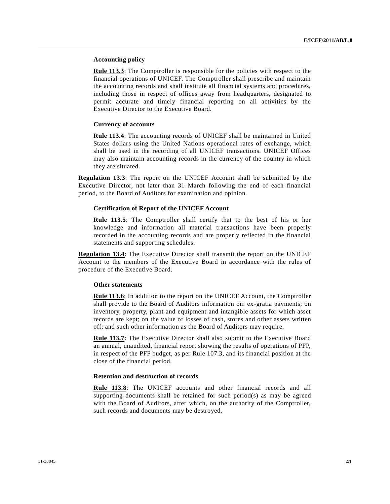#### **Accounting policy**

**Rule 113.3**: The Comptroller is responsible for the policies with respect to the financial operations of UNICEF. The Comptroller shall prescribe and maintain the accounting records and shall institute all financial systems and procedures, including those in respect of offices away from headquarters, designated to permit accurate and timely financial reporting on all activities by the Executive Director to the Executive Board.

#### **Currency of accounts**

**Rule 113.4**: The accounting records of UNICEF shall be maintained in United States dollars using the United Nations operational rates of exchange, which shall be used in the recording of all UNICEF transactions. UNICEF Offices may also maintain accounting records in the currency of the country in which they are situated.

**Regulation 13.3**: The report on the UNICEF Account shall be submitted by the Executive Director, not later than 31 March following the end of each financial period, to the Board of Auditors for examination and opinion.

#### **Certification of Report of the UNICEF Account**

**Rule 113.5**: The Comptroller shall certify that to the best of his or her knowledge and information all material transactions have been properly recorded in the accounting records and are properly reflected in the financial statements and supporting schedules.

**Regulation 13.4**: The Executive Director shall transmit the report on the UNICEF Account to the members of the Executive Board in accordance with the rules of procedure of the Executive Board.

#### **Other statements**

**Rule 113.6**: In addition to the report on the UNICEF Account, the Comptroller shall provide to the Board of Auditors information on: ex-gratia payments; on inventory, property, plant and equipment and intangible assets for which asset records are kept; on the value of losses of cash, stores and other assets written off; and such other information as the Board of Auditors may require.

**Rule 113.7**: The Executive Director shall also submit to the Executive Board an annual, unaudited, financial report showing the results of operations of PFP, in respect of the PFP budget, as per Rule 107.3, and its financial position at the close of the financial period.

#### **Retention and destruction of records**

**Rule 113.8**: The UNICEF accounts and other financial records and all supporting documents shall be retained for such period(s) as may be agreed with the Board of Auditors, after which, on the authority of the Comptroller, such records and documents may be destroyed.